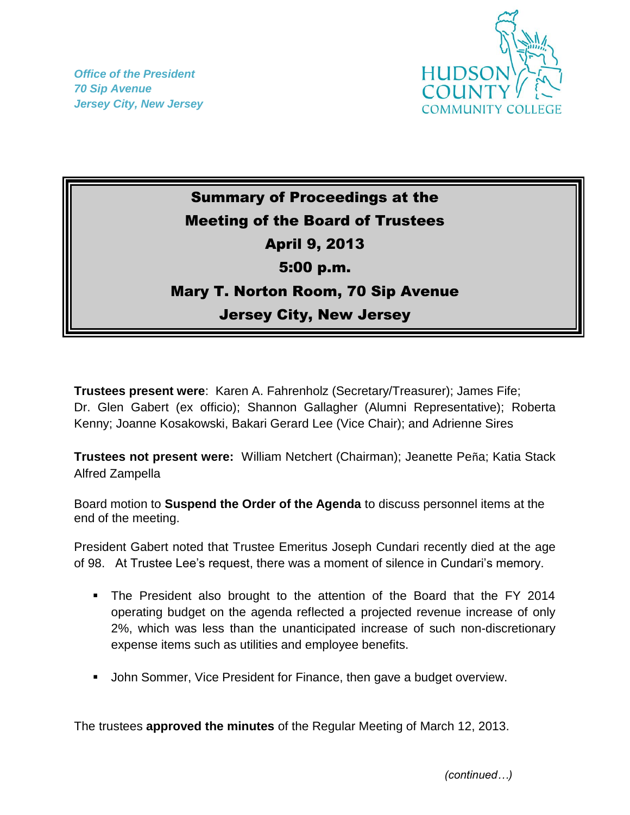*Office of the President 70 Sip Avenue Jersey City, New Jersey*



## Summary of Proceedings at the Meeting of the Board of Trustees April 9, 2013 5:00 p.m. Mary T. Norton Room, 70 Sip Avenue Jersey City, New Jersey

**Trustees present were**: Karen A. Fahrenholz (Secretary/Treasurer); James Fife; Dr. Glen Gabert (ex officio); Shannon Gallagher (Alumni Representative); Roberta Kenny; Joanne Kosakowski, Bakari Gerard Lee (Vice Chair); and Adrienne Sires

**Trustees not present were:** William Netchert (Chairman); Jeanette Peña; Katia Stack Alfred Zampella

Board motion to **Suspend the Order of the Agenda** to discuss personnel items at the end of the meeting.

President Gabert noted that Trustee Emeritus Joseph Cundari recently died at the age of 98. At Trustee Lee's request, there was a moment of silence in Cundari's memory.

- The President also brought to the attention of the Board that the FY 2014 operating budget on the agenda reflected a projected revenue increase of only 2%, which was less than the unanticipated increase of such non-discretionary expense items such as utilities and employee benefits.
- **John Sommer, Vice President for Finance, then gave a budget overview.**

The trustees **approved the minutes** of the Regular Meeting of March 12, 2013.

*(continued…)*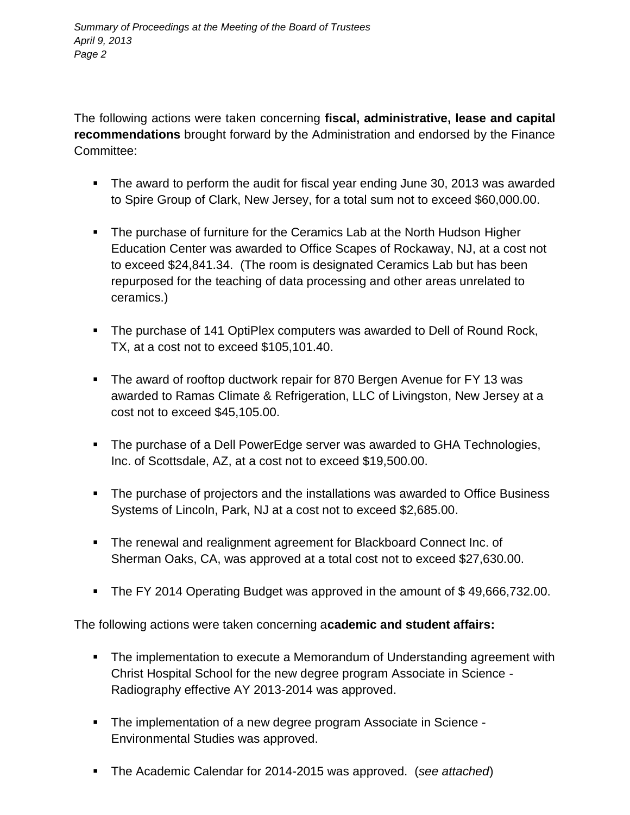The following actions were taken concerning **fiscal, administrative, lease and capital recommendations** brought forward by the Administration and endorsed by the Finance Committee:

- The award to perform the audit for fiscal year ending June 30, 2013 was awarded to Spire Group of Clark, New Jersey, for a total sum not to exceed \$60,000.00.
- The purchase of furniture for the Ceramics Lab at the North Hudson Higher Education Center was awarded to Office Scapes of Rockaway, NJ, at a cost not to exceed \$24,841.34. (The room is designated Ceramics Lab but has been repurposed for the teaching of data processing and other areas unrelated to ceramics.)
- The purchase of 141 OptiPlex computers was awarded to Dell of Round Rock, TX, at a cost not to exceed \$105,101.40.
- The award of rooftop ductwork repair for 870 Bergen Avenue for FY 13 was awarded to Ramas Climate & Refrigeration, LLC of Livingston, New Jersey at a cost not to exceed \$45,105.00.
- The purchase of a Dell PowerEdge server was awarded to GHA Technologies, Inc. of Scottsdale, AZ, at a cost not to exceed \$19,500.00.
- The purchase of projectors and the installations was awarded to Office Business Systems of Lincoln, Park, NJ at a cost not to exceed \$2,685.00.
- The renewal and realignment agreement for Blackboard Connect Inc. of Sherman Oaks, CA, was approved at a total cost not to exceed \$27,630.00.
- The FY 2014 Operating Budget was approved in the amount of \$49,666,732.00.

The following actions were taken concerning a**cademic and student affairs:**

- The implementation to execute a Memorandum of Understanding agreement with Christ Hospital School for the new degree program Associate in Science - Radiography effective AY 2013-2014 was approved.
- The implementation of a new degree program Associate in Science Environmental Studies was approved.
- The Academic Calendar for 2014-2015 was approved. (*see attached*)